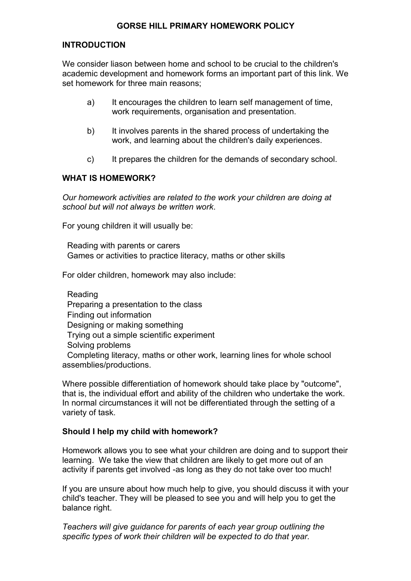## **GORSE HILL PRIMARY HOMEWORK POLICY**

# **INTRODUCTION**

We consider liason between home and school to be crucial to the children's academic development and homework forms an important part of this link. We set homework for three main reasons;

- a) It encourages the children to learn self management of time, work requirements, organisation and presentation.
- b) It involves parents in the shared process of undertaking the work, and learning about the children's daily experiences.
- c) It prepares the children for the demands of secondary school.

## **WHAT IS HOMEWORK?**

*Our homework activities are related to the work your children are doing at school but will not always be written work*.

For young children it will usually be:

 Reading with parents or carers Games or activities to practice literacy, maths or other skills

For older children, homework may also include:

 Reading Preparing a presentation to the class Finding out information Designing or making something Trying out a simple scientific experiment Solving problems Completing literacy, maths or other work, learning lines for whole school assemblies/productions.

Where possible differentiation of homework should take place by "outcome", that is, the individual effort and ability of the children who undertake the work. In normal circumstances it will not be differentiated through the setting of a variety of task.

#### **Should I help my child with homework?**

Homework allows you to see what your children are doing and to support their learning. We take the view that children are likely to get more out of an activity if parents get involved -as long as they do not take over too much!

If you are unsure about how much help to give, you should discuss it with your child's teacher. They will be pleased to see you and will help you to get the balance right.

*Teachers will give guidance for parents of each year group outlining the specific types of work their children will be expected to do that year.*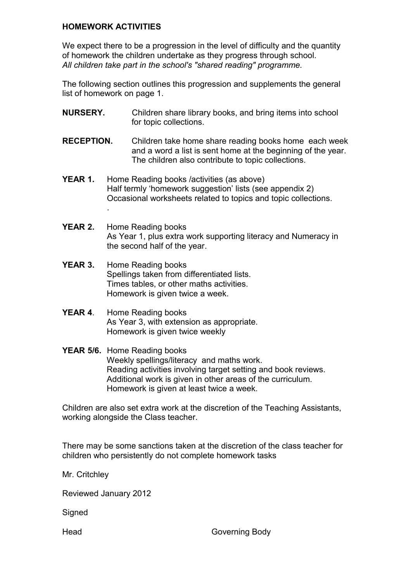## **HOMEWORK ACTIVITIES**

.

We expect there to be a progression in the level of difficulty and the quantity of homework the children undertake as they progress through school. *All children take part in the school's "shared reading" programme.* 

The following section outlines this progression and supplements the general list of homework on page 1.

- **NURSERY.** Children share library books, and bring items into school for topic collections.
- **RECEPTION.** Children take home share reading books home each week and a word a list is sent home at the beginning of the year. The children also contribute to topic collections.
- **YEAR 1.** Home Reading books / activities (as above) Half termly 'homework suggestion' lists (see appendix 2) Occasional worksheets related to topics and topic collections.
- **YEAR 2.** Home Reading books As Year 1, plus extra work supporting literacy and Numeracy in the second half of the year.
- YEAR 3. Home Reading books Spellings taken from differentiated lists. Times tables, or other maths activities. Homework is given twice a week.
- **YEAR 4**. Home Reading books As Year 3, with extension as appropriate. Homework is given twice weekly

#### YEAR 5/6. Home Reading books Weekly spellings/literacy and maths work. Reading activities involving target setting and book reviews. Additional work is given in other areas of the curriculum. Homework is given at least twice a week.

Children are also set extra work at the discretion of the Teaching Assistants, working alongside the Class teacher.

There may be some sanctions taken at the discretion of the class teacher for children who persistently do not complete homework tasks

Mr. Critchley

Reviewed January 2012

**Signed** 

Head Governing Body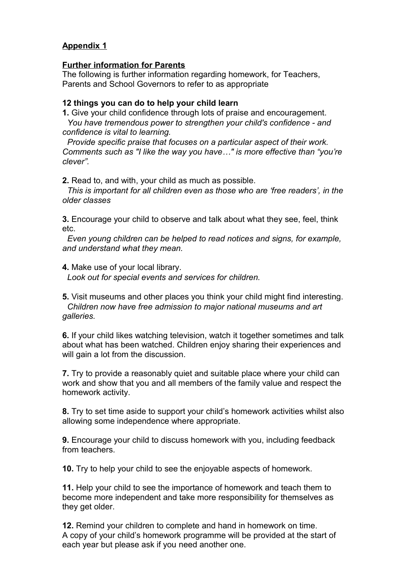# **Appendix 1**

#### **Further information for Parents**

The following is further information regarding homework, for Teachers, Parents and School Governors to refer to as appropriate

#### **12 things you can do to help your child learn**

**1.** Give your child confidence through lots of praise and encouragement.

 *You have tremendous power to strengthen your child's confidence - and confidence is vital to learning.*

 *Provide specific praise that focuses on a particular aspect of their work. Comments such as "I like the way you have…" is more effective than "you're clever".*

**2.** Read to, and with, your child as much as possible.

 *This is important for all children even as those who are 'free readers', in the older classes*

**3.** Encourage your child to observe and talk about what they see, feel, think etc.

 *Even young children can be helped to read notices and signs, for example, and understand what they mean.*

**4.** Make use of your local library. *Look out for special events and services for children.*

**5.** Visit museums and other places you think your child might find interesting. *Children now have free admission to major national museums and art galleries.*

**6.** If your child likes watching television, watch it together sometimes and talk about what has been watched. Children enjoy sharing their experiences and will gain a lot from the discussion.

**7.** Try to provide a reasonably quiet and suitable place where your child can work and show that you and all members of the family value and respect the homework activity.

**8.** Try to set time aside to support your child's homework activities whilst also allowing some independence where appropriate.

**9.** Encourage your child to discuss homework with you, including feedback from teachers.

**10.** Try to help your child to see the enjoyable aspects of homework.

**11.** Help your child to see the importance of homework and teach them to become more independent and take more responsibility for themselves as they get older.

**12.** Remind your children to complete and hand in homework on time. A copy of your child's homework programme will be provided at the start of each year but please ask if you need another one.